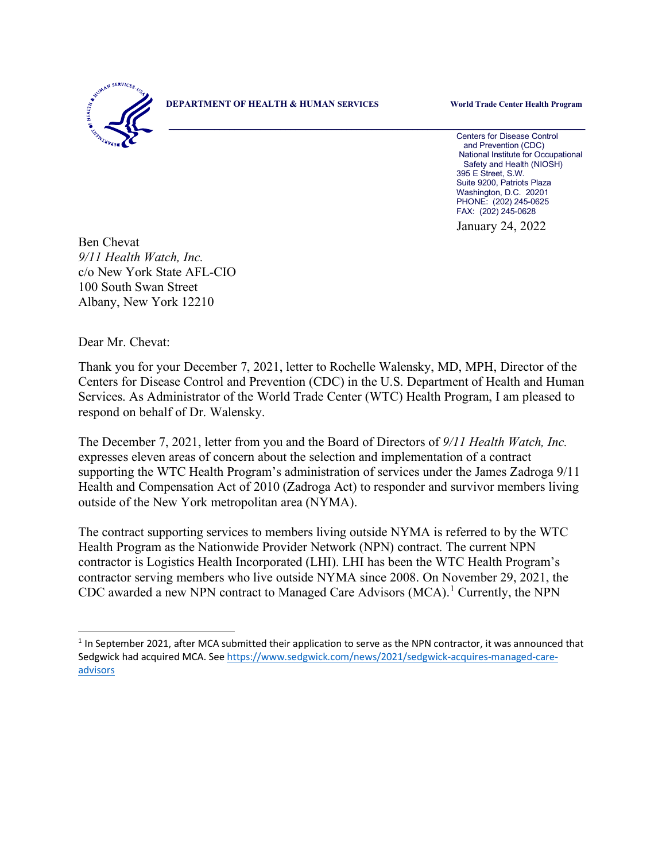

**DEPARTMENT OF HEALTH & HUMAN SERVICES World Trade Center Health Program**

\_\_\_\_\_\_\_\_\_\_\_\_\_\_\_\_\_\_\_\_\_\_\_\_\_\_\_\_\_\_\_\_\_\_\_\_\_\_\_\_\_\_\_\_\_\_\_\_\_\_\_\_\_\_\_\_\_\_\_\_\_\_\_\_\_\_\_\_\_\_\_\_\_\_\_\_\_\_\_\_\_\_ Centers for Disease Control and Prevention (CDC) National Institute for Occupational Safety and Health (NIOSH) 395 E Street, S.W. Suite 9200, Patriots Plaza Washington, D.C. 20201 PHONE: (202) 245-0625 FAX: (202) 245-0628

January 24, 2022

Ben Chevat *9/11 Health Watch, Inc.* c/o New York State AFL-CIO 100 South Swan Street Albany, New York 12210

Dear Mr. Chevat:

Thank you for your December 7, 2021, letter to Rochelle Walensky, MD, MPH, Director of the Centers for Disease Control and Prevention (CDC) in the U.S. Department of Health and Human Services. As Administrator of the World Trade Center (WTC) Health Program, I am pleased to respond on behalf of Dr. Walensky.

The December 7, 2021, letter from you and the Board of Directors of *9/11 Health Watch, Inc.* expresses eleven areas of concern about the selection and implementation of a contract supporting the WTC Health Program's administration of services under the James Zadroga 9/11 Health and Compensation Act of 2010 (Zadroga Act) to responder and survivor members living outside of the New York metropolitan area (NYMA).

The contract supporting services to members living outside NYMA is referred to by the WTC Health Program as the Nationwide Provider Network (NPN) contract. The current NPN contractor is Logistics Health Incorporated (LHI). LHI has been the WTC Health Program's contractor serving members who live outside NYMA since 2008. On November 29, 2021, the CDC awarded a new NPN contract to Managed Care Advisors (MCA). [1](#page-0-0) Currently, the NPN

<span id="page-0-0"></span><sup>&</sup>lt;sup>1</sup> In September 2021, after MCA submitted their application to serve as the NPN contractor, it was announced that Sedgwick had acquired MCA. Se[e https://www.sedgwick.com/news/2021/sedgwick-acquires-managed-care](https://www.sedgwick.com/news/2021/sedgwick-acquires-managed-care-advisors)[advisors](https://www.sedgwick.com/news/2021/sedgwick-acquires-managed-care-advisors)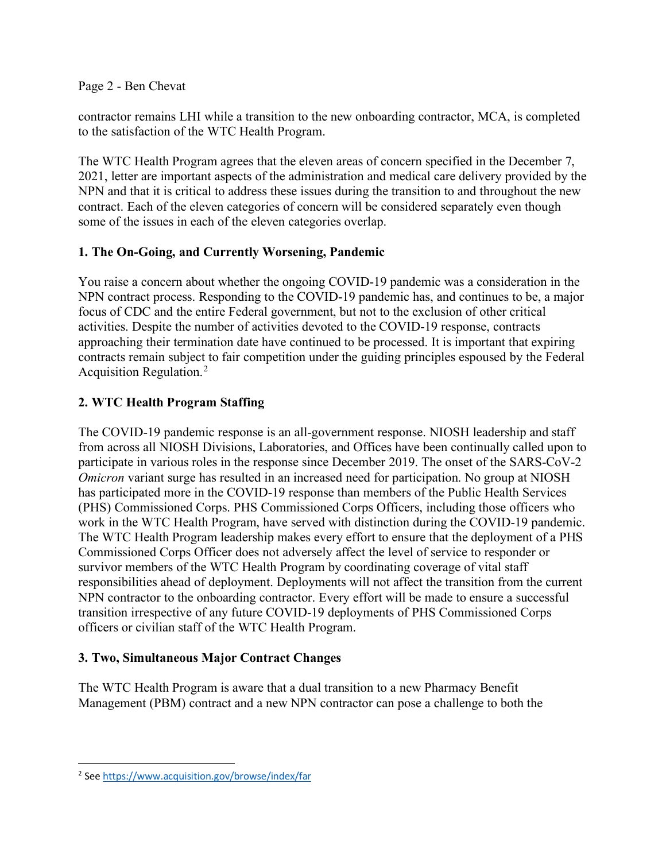Page 2 - Ben Chevat

contractor remains LHI while a transition to the new onboarding contractor, MCA, is completed to the satisfaction of the WTC Health Program.

The WTC Health Program agrees that the eleven areas of concern specified in the December 7, 2021, letter are important aspects of the administration and medical care delivery provided by the NPN and that it is critical to address these issues during the transition to and throughout the new contract. Each of the eleven categories of concern will be considered separately even though some of the issues in each of the eleven categories overlap.

# **1. The On-Going, and Currently Worsening, Pandemic**

You raise a concern about whether the ongoing COVID-19 pandemic was a consideration in the NPN contract process. Responding to the COVID-19 pandemic has, and continues to be, a major focus of CDC and the entire Federal government, but not to the exclusion of other critical activities. Despite the number of activities devoted to the COVID-19 response, contracts approaching their termination date have continued to be processed. It is important that expiring contracts remain subject to fair competition under the guiding principles espoused by the Federal Acquisition Regulation.[2](#page-1-0)

# **2. WTC Health Program Staffing**

The COVID-19 pandemic response is an all-government response. NIOSH leadership and staff from across all NIOSH Divisions, Laboratories, and Offices have been continually called upon to participate in various roles in the response since December 2019. The onset of the SARS-CoV-2 *Omicron* variant surge has resulted in an increased need for participation. No group at NIOSH has participated more in the COVID-19 response than members of the Public Health Services (PHS) Commissioned Corps. PHS Commissioned Corps Officers, including those officers who work in the WTC Health Program, have served with distinction during the COVID-19 pandemic. The WTC Health Program leadership makes every effort to ensure that the deployment of a PHS Commissioned Corps Officer does not adversely affect the level of service to responder or survivor members of the WTC Health Program by coordinating coverage of vital staff responsibilities ahead of deployment. Deployments will not affect the transition from the current NPN contractor to the onboarding contractor. Every effort will be made to ensure a successful transition irrespective of any future COVID-19 deployments of PHS Commissioned Corps officers or civilian staff of the WTC Health Program.

## **3. Two, Simultaneous Major Contract Changes**

The WTC Health Program is aware that a dual transition to a new Pharmacy Benefit Management (PBM) contract and a new NPN contractor can pose a challenge to both the

<span id="page-1-0"></span><sup>2</sup> Se[e https://www.acquisition.gov/browse/index/far](https://www.acquisition.gov/browse/index/far)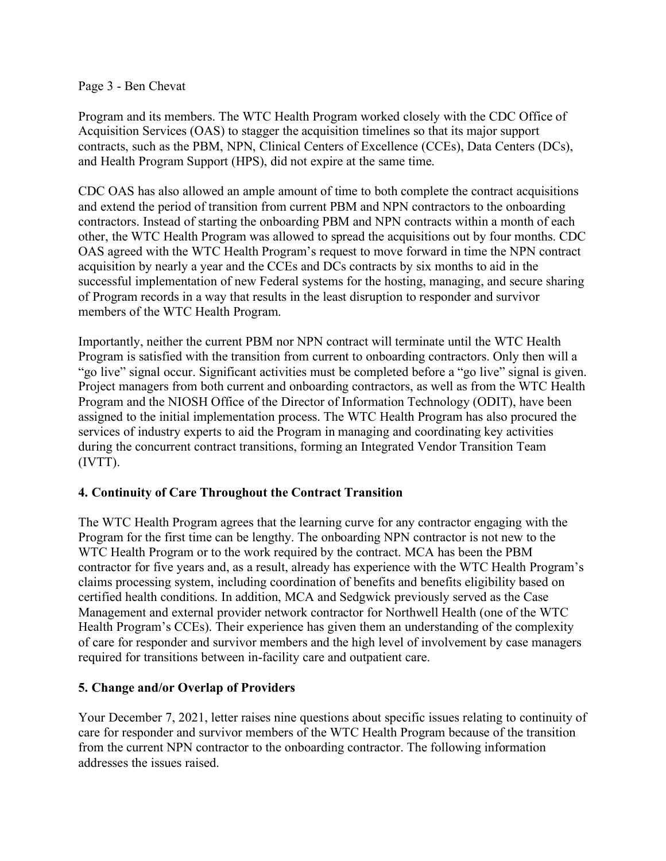#### Page 3 - Ben Chevat

Program and its members. The WTC Health Program worked closely with the CDC Office of Acquisition Services (OAS) to stagger the acquisition timelines so that its major support contracts, such as the PBM, NPN, Clinical Centers of Excellence (CCEs), Data Centers (DCs), and Health Program Support (HPS), did not expire at the same time.

CDC OAS has also allowed an ample amount of time to both complete the contract acquisitions and extend the period of transition from current PBM and NPN contractors to the onboarding contractors. Instead of starting the onboarding PBM and NPN contracts within a month of each other, the WTC Health Program was allowed to spread the acquisitions out by four months. CDC OAS agreed with the WTC Health Program's request to move forward in time the NPN contract acquisition by nearly a year and the CCEs and DCs contracts by six months to aid in the successful implementation of new Federal systems for the hosting, managing, and secure sharing of Program records in a way that results in the least disruption to responder and survivor members of the WTC Health Program.

Importantly, neither the current PBM nor NPN contract will terminate until the WTC Health Program is satisfied with the transition from current to onboarding contractors. Only then will a "go live" signal occur. Significant activities must be completed before a "go live" signal is given. Project managers from both current and onboarding contractors, as well as from the WTC Health Program and the NIOSH Office of the Director of Information Technology (ODIT), have been assigned to the initial implementation process. The WTC Health Program has also procured the services of industry experts to aid the Program in managing and coordinating key activities during the concurrent contract transitions, forming an Integrated Vendor Transition Team (IVTT).

## **4. Continuity of Care Throughout the Contract Transition**

The WTC Health Program agrees that the learning curve for any contractor engaging with the Program for the first time can be lengthy. The onboarding NPN contractor is not new to the WTC Health Program or to the work required by the contract. MCA has been the PBM contractor for five years and, as a result, already has experience with the WTC Health Program's claims processing system, including coordination of benefits and benefits eligibility based on certified health conditions. In addition, MCA and Sedgwick previously served as the Case Management and external provider network contractor for Northwell Health (one of the WTC Health Program's CCEs). Their experience has given them an understanding of the complexity of care for responder and survivor members and the high level of involvement by case managers required for transitions between in-facility care and outpatient care.

## **5. Change and/or Overlap of Providers**

Your December 7, 2021, letter raises nine questions about specific issues relating to continuity of care for responder and survivor members of the WTC Health Program because of the transition from the current NPN contractor to the onboarding contractor. The following information addresses the issues raised.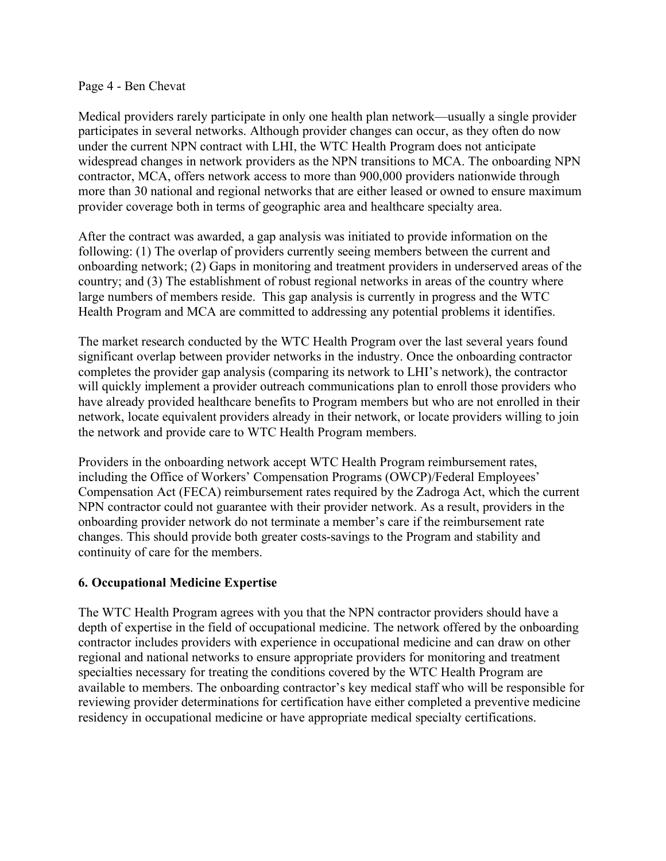#### Page 4 - Ben Chevat

Medical providers rarely participate in only one health plan network—usually a single provider participates in several networks. Although provider changes can occur, as they often do now under the current NPN contract with LHI, the WTC Health Program does not anticipate widespread changes in network providers as the NPN transitions to MCA. The onboarding NPN contractor, MCA, offers network access to more than 900,000 providers nationwide through more than 30 national and regional networks that are either leased or owned to ensure maximum provider coverage both in terms of geographic area and healthcare specialty area.

After the contract was awarded, a gap analysis was initiated to provide information on the following: (1) The overlap of providers currently seeing members between the current and onboarding network; (2) Gaps in monitoring and treatment providers in underserved areas of the country; and (3) The establishment of robust regional networks in areas of the country where large numbers of members reside. This gap analysis is currently in progress and the WTC Health Program and MCA are committed to addressing any potential problems it identifies.

The market research conducted by the WTC Health Program over the last several years found significant overlap between provider networks in the industry. Once the onboarding contractor completes the provider gap analysis (comparing its network to LHI's network), the contractor will quickly implement a provider outreach communications plan to enroll those providers who have already provided healthcare benefits to Program members but who are not enrolled in their network, locate equivalent providers already in their network, or locate providers willing to join the network and provide care to WTC Health Program members.

Providers in the onboarding network accept WTC Health Program reimbursement rates, including the Office of Workers' Compensation Programs (OWCP)/Federal Employees' Compensation Act (FECA) reimbursement rates required by the Zadroga Act, which the current NPN contractor could not guarantee with their provider network. As a result, providers in the onboarding provider network do not terminate a member's care if the reimbursement rate changes. This should provide both greater costs-savings to the Program and stability and continuity of care for the members.

## **6. Occupational Medicine Expertise**

The WTC Health Program agrees with you that the NPN contractor providers should have a depth of expertise in the field of occupational medicine. The network offered by the onboarding contractor includes providers with experience in occupational medicine and can draw on other regional and national networks to ensure appropriate providers for monitoring and treatment specialties necessary for treating the conditions covered by the WTC Health Program are available to members. The onboarding contractor's key medical staff who will be responsible for reviewing provider determinations for certification have either completed a preventive medicine residency in occupational medicine or have appropriate medical specialty certifications.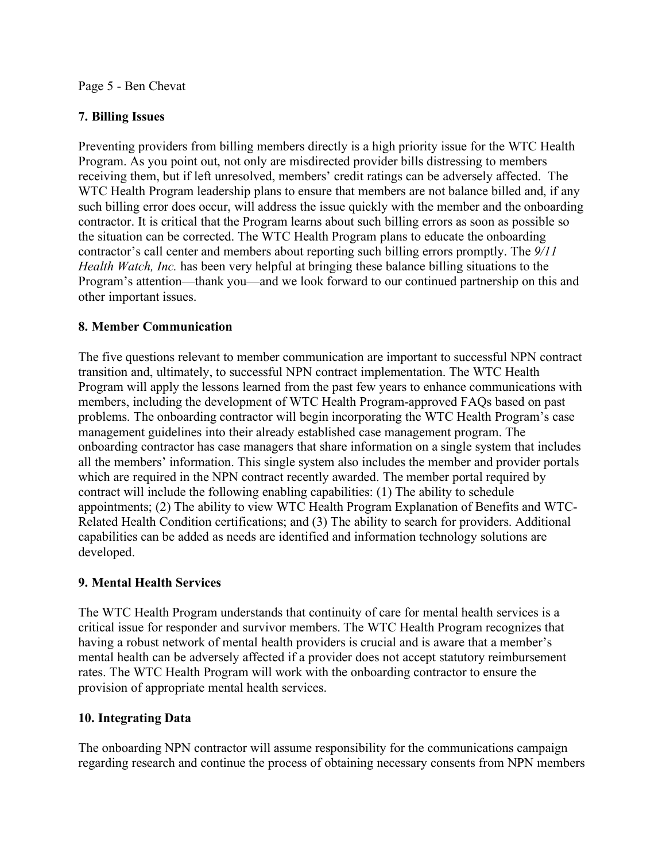#### Page 5 - Ben Chevat

## **7. Billing Issues**

Preventing providers from billing members directly is a high priority issue for the WTC Health Program. As you point out, not only are misdirected provider bills distressing to members receiving them, but if left unresolved, members' credit ratings can be adversely affected. The WTC Health Program leadership plans to ensure that members are not balance billed and, if any such billing error does occur, will address the issue quickly with the member and the onboarding contractor. It is critical that the Program learns about such billing errors as soon as possible so the situation can be corrected. The WTC Health Program plans to educate the onboarding contractor's call center and members about reporting such billing errors promptly. The *9/11 Health Watch, Inc.* has been very helpful at bringing these balance billing situations to the Program's attention—thank you—and we look forward to our continued partnership on this and other important issues.

## **8. Member Communication**

The five questions relevant to member communication are important to successful NPN contract transition and, ultimately, to successful NPN contract implementation. The WTC Health Program will apply the lessons learned from the past few years to enhance communications with members, including the development of WTC Health Program-approved FAQs based on past problems. The onboarding contractor will begin incorporating the WTC Health Program's case management guidelines into their already established case management program. The onboarding contractor has case managers that share information on a single system that includes all the members' information. This single system also includes the member and provider portals which are required in the NPN contract recently awarded. The member portal required by contract will include the following enabling capabilities: (1) The ability to schedule appointments; (2) The ability to view WTC Health Program Explanation of Benefits and WTC-Related Health Condition certifications; and (3) The ability to search for providers. Additional capabilities can be added as needs are identified and information technology solutions are developed.

## **9. Mental Health Services**

The WTC Health Program understands that continuity of care for mental health services is a critical issue for responder and survivor members. The WTC Health Program recognizes that having a robust network of mental health providers is crucial and is aware that a member's mental health can be adversely affected if a provider does not accept statutory reimbursement rates. The WTC Health Program will work with the onboarding contractor to ensure the provision of appropriate mental health services.

## **10. Integrating Data**

The onboarding NPN contractor will assume responsibility for the communications campaign regarding research and continue the process of obtaining necessary consents from NPN members